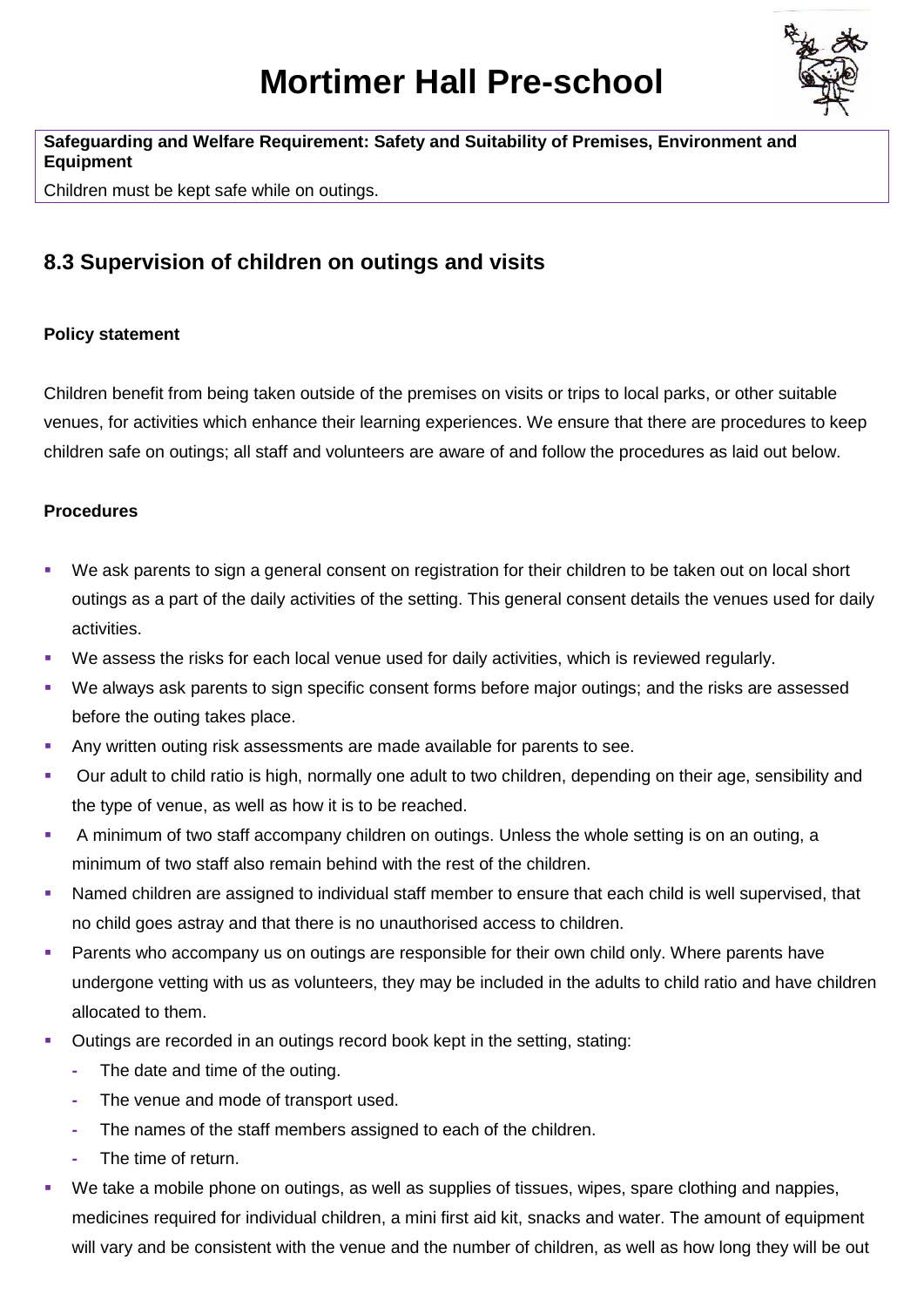

## **Safeguarding and Welfare Requirement: Safety and Suitability of Premises, Environment and Equipment**

Children must be kept safe while on outings.

# **8.3 Supervision of children on outings and visits**

## **Policy statement**

Children benefit from being taken outside of the premises on visits or trips to local parks, or other suitable venues, for activities which enhance their learning experiences. We ensure that there are procedures to keep children safe on outings; all staff and volunteers are aware of and follow the procedures as laid out below.

### **Procedures**

- We ask parents to sign a general consent on registration for their children to be taken out on local short outings as a part of the daily activities of the setting. This general consent details the venues used for daily activities.
- We assess the risks for each local venue used for daily activities, which is reviewed regularly.
- We always ask parents to sign specific consent forms before major outings; and the risks are assessed before the outing takes place.
- Any written outing risk assessments are made available for parents to see.
- Our adult to child ratio is high, normally one adult to two children, depending on their age, sensibility and the type of venue, as well as how it is to be reached.
- A minimum of two staff accompany children on outings. Unless the whole setting is on an outing, a minimum of two staff also remain behind with the rest of the children.
- Named children are assigned to individual staff member to ensure that each child is well supervised, that no child goes astray and that there is no unauthorised access to children.
- **Parents who accompany us on outings are responsible for their own child only. Where parents have** undergone vetting with us as volunteers, they may be included in the adults to child ratio and have children allocated to them.
- Outings are recorded in an outings record book kept in the setting, stating:
	- **-** The date and time of the outing.
	- **-** The venue and mode of transport used.
	- **-** The names of the staff members assigned to each of the children.
	- **-** The time of return.
- We take a mobile phone on outings, as well as supplies of tissues, wipes, spare clothing and nappies, medicines required for individual children, a mini first aid kit, snacks and water. The amount of equipment will vary and be consistent with the venue and the number of children, as well as how long they will be out